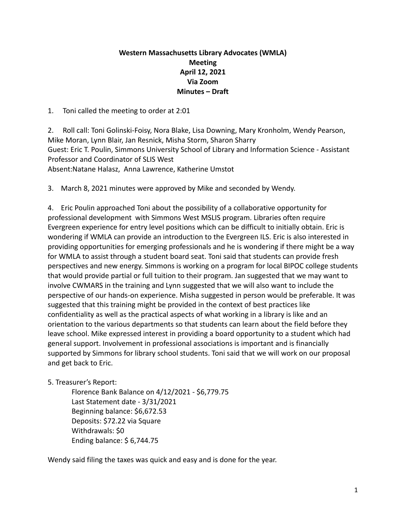## **Western Massachusetts Library Advocates (WMLA) Meeting April 12, 2021 Via Zoom Minutes – Draft**

1. Toni called the meeting to order at 2:01

2. Roll call: Toni Golinski-Foisy, Nora Blake, Lisa Downing, Mary Kronholm, Wendy Pearson, Mike Moran, Lynn Blair, Jan Resnick, Misha Storm, Sharon Sharry Guest: Eric T. Poulin, Simmons University School of Library and Information Science - Assistant Professor and Coordinator of SLIS West Absent:Natane Halasz, Anna Lawrence, Katherine Umstot

3. March 8, 2021 minutes were approved by Mike and seconded by Wendy.

4. Eric Poulin approached Toni about the possibility of a collaborative opportunity for professional development with Simmons West MSLIS program. Libraries often require Evergreen experience for entry level positions which can be difficult to initially obtain. Eric is wondering if WMLA can provide an introduction to the Evergreen ILS. Eric is also interested in providing opportunities for emerging professionals and he is wondering if there might be a way for WMLA to assist through a student board seat. Toni said that students can provide fresh perspectives and new energy. Simmons is working on a program for local BIPOC college students that would provide partial or full tuition to their program. Jan suggested that we may want to involve CWMARS in the training and Lynn suggested that we will also want to include the perspective of our hands-on experience. Misha suggested in person would be preferable. It was suggested that this training might be provided in the context of best practices like confidentiality as well as the practical aspects of what working in a library is like and an orientation to the various departments so that students can learn about the field before they leave school. Mike expressed interest in providing a board opportunity to a student which had general support. Involvement in professional associations is important and is financially supported by Simmons for library school students. Toni said that we will work on our proposal and get back to Eric.

## 5. Treasurer's Report:

Florence Bank Balance on 4/12/2021 - \$6,779.75 Last Statement date - 3/31/2021 Beginning balance: \$6,672.53 Deposits: \$72.22 via Square Withdrawals: \$0 Ending balance: \$ 6,744.75

Wendy said filing the taxes was quick and easy and is done for the year.